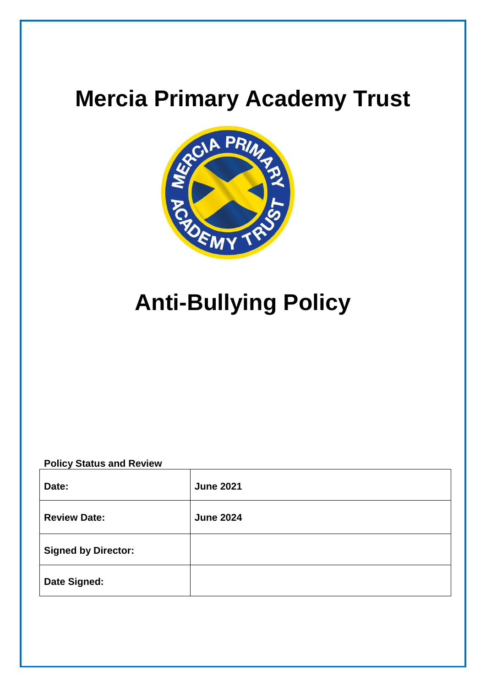## **Mercia Primary Academy Trust**



# **Anti-Bullying Policy**

**Policy Status and Review**

| Date:                      | <b>June 2021</b> |
|----------------------------|------------------|
| <b>Review Date:</b>        | <b>June 2024</b> |
| <b>Signed by Director:</b> |                  |
| <b>Date Signed:</b>        |                  |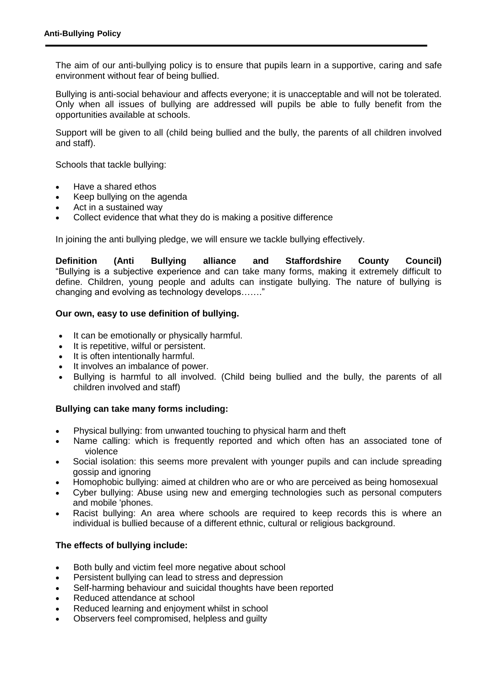The aim of our anti-bullying policy is to ensure that pupils learn in a supportive, caring and safe environment without fear of being bullied.

Bullying is anti-social behaviour and affects everyone; it is unacceptable and will not be tolerated. Only when all issues of bullying are addressed will pupils be able to fully benefit from the opportunities available at schools.

Support will be given to all (child being bullied and the bully, the parents of all children involved and staff).

Schools that tackle bullying:

- Have a shared ethos
- Keep bullying on the agenda
- Act in a sustained way
- Collect evidence that what they do is making a positive difference

In joining the anti bullying pledge, we will ensure we tackle bullying effectively.

**Definition (Anti Bullying alliance and Staffordshire County Council)**  "Bullying is a subjective experience and can take many forms, making it extremely difficult to define. Children, young people and adults can instigate bullying. The nature of bullying is changing and evolving as technology develops……."

#### **Our own, easy to use definition of bullying.**

- It can be emotionally or physically harmful.
- It is repetitive, wilful or persistent.
- It is often intentionally harmful.
- It involves an imbalance of power.
- Bullying is harmful to all involved. (Child being bullied and the bully, the parents of all children involved and staff)

#### **Bullying can take many forms including:**

- Physical bullying: from unwanted touching to physical harm and theft
- Name calling: which is frequently reported and which often has an associated tone of violence
- Social isolation: this seems more prevalent with younger pupils and can include spreading gossip and ignoring
- Homophobic bullying: aimed at children who are or who are perceived as being homosexual
- Cyber bullying: Abuse using new and emerging technologies such as personal computers and mobile 'phones.
- Racist bullying: An area where schools are required to keep records this is where an individual is bullied because of a different ethnic, cultural or religious background.

#### **The effects of bullying include:**

- Both bully and victim feel more negative about school
- Persistent bullying can lead to stress and depression
- Self-harming behaviour and suicidal thoughts have been reported
- Reduced attendance at school
- Reduced learning and enjoyment whilst in school
- Observers feel compromised, helpless and guilty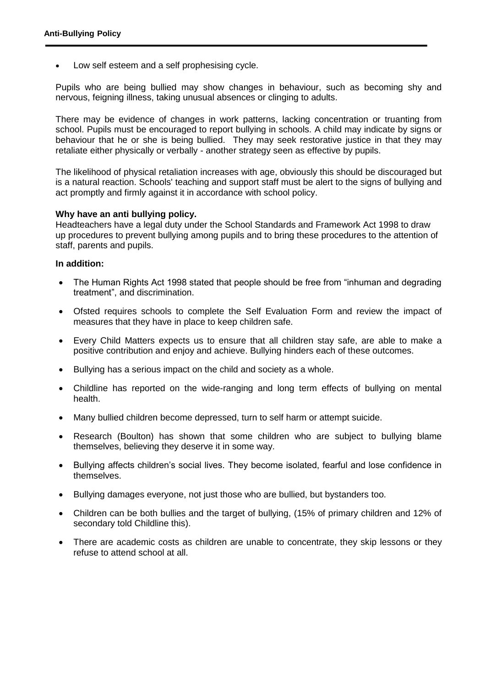Low self esteem and a self prophesising cycle.

Pupils who are being bullied may show changes in behaviour, such as becoming shy and nervous, feigning illness, taking unusual absences or clinging to adults.

There may be evidence of changes in work patterns, lacking concentration or truanting from school. Pupils must be encouraged to report bullying in schools. A child may indicate by signs or behaviour that he or she is being bullied. They may seek restorative justice in that they may retaliate either physically or verbally - another strategy seen as effective by pupils.

The likelihood of physical retaliation increases with age, obviously this should be discouraged but is a natural reaction. Schools' teaching and support staff must be alert to the signs of bullying and act promptly and firmly against it in accordance with school policy.

#### **Why have an anti bullying policy.**

Headteachers have a legal duty under the School Standards and Framework Act 1998 to draw up procedures to prevent bullying among pupils and to bring these procedures to the attention of staff, parents and pupils.

#### **In addition:**

- The Human Rights Act 1998 stated that people should be free from "inhuman and degrading treatment", and discrimination.
- Ofsted requires schools to complete the Self Evaluation Form and review the impact of measures that they have in place to keep children safe.
- Every Child Matters expects us to ensure that all children stay safe, are able to make a positive contribution and enjoy and achieve. Bullying hinders each of these outcomes.
- Bullying has a serious impact on the child and society as a whole.
- Childline has reported on the wide-ranging and long term effects of bullying on mental health.
- Many bullied children become depressed, turn to self harm or attempt suicide.
- Research (Boulton) has shown that some children who are subject to bullying blame themselves, believing they deserve it in some way.
- Bullying affects children's social lives. They become isolated, fearful and lose confidence in themselves.
- Bullying damages everyone, not just those who are bullied, but bystanders too.
- Children can be both bullies and the target of bullying, (15% of primary children and 12% of secondary told Childline this).
- There are academic costs as children are unable to concentrate, they skip lessons or they refuse to attend school at all.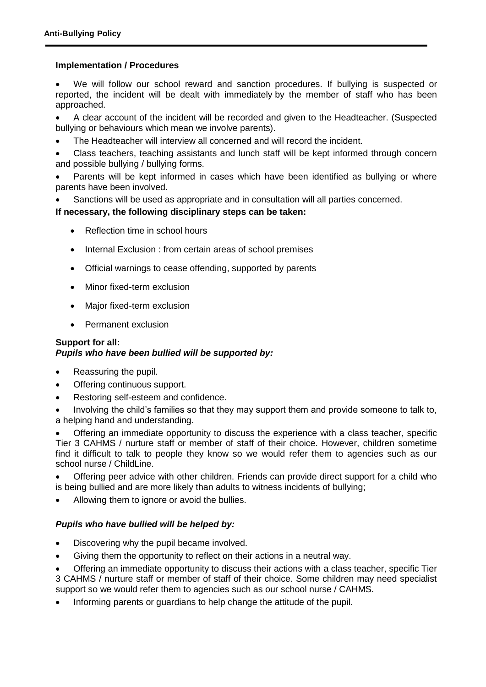#### **Implementation / Procedures**

 We will follow our school reward and sanction procedures. If bullying is suspected or reported, the incident will be dealt with immediately by the member of staff who has been approached.

 A clear account of the incident will be recorded and given to the Headteacher. (Suspected bullying or behaviours which mean we involve parents).

The Headteacher will interview all concerned and will record the incident.

 Class teachers, teaching assistants and lunch staff will be kept informed through concern and possible bullying / bullying forms.

 Parents will be kept informed in cases which have been identified as bullying or where parents have been involved.

Sanctions will be used as appropriate and in consultation will all parties concerned.

#### **If necessary, the following disciplinary steps can be taken:**

- Reflection time in school hours
- Internal Exclusion : from certain areas of school premises
- Official warnings to cease offending, supported by parents
- Minor fixed-term exclusion
- Major fixed-term exclusion
- Permanent exclusion

### **Support for all:** *Pupils who have been bullied will be supported by:*

- Reassuring the pupil.
- Offering continuous support.
- Restoring self-esteem and confidence.

 Involving the child's families so that they may support them and provide someone to talk to, a helping hand and understanding.

 Offering an immediate opportunity to discuss the experience with a class teacher, specific Tier 3 CAHMS / nurture staff or member of staff of their choice. However, children sometime find it difficult to talk to people they know so we would refer them to agencies such as our school nurse / ChildLine.

 Offering peer advice with other children. Friends can provide direct support for a child who is being bullied and are more likely than adults to witness incidents of bullying;

Allowing them to ignore or avoid the bullies.

#### *Pupils who have bullied will be helped by:*

- Discovering why the pupil became involved.
- Giving them the opportunity to reflect on their actions in a neutral way.

 Offering an immediate opportunity to discuss their actions with a class teacher, specific Tier 3 CAHMS / nurture staff or member of staff of their choice. Some children may need specialist support so we would refer them to agencies such as our school nurse / CAHMS.

Informing parents or guardians to help change the attitude of the pupil.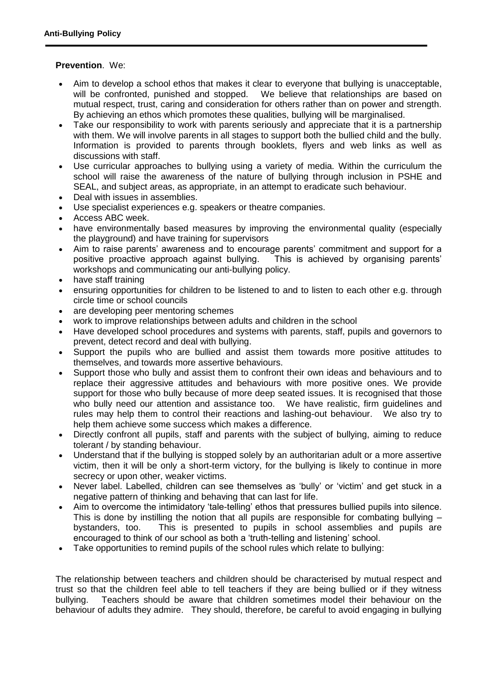#### **Prevention**. We:

- Aim to develop a school ethos that makes it clear to everyone that bullying is unacceptable, will be confronted, punished and stopped. We believe that relationships are based on mutual respect, trust, caring and consideration for others rather than on power and strength. By achieving an ethos which promotes these qualities, bullying will be marginalised.
- Take our responsibility to work with parents seriously and appreciate that it is a partnership with them. We will involve parents in all stages to support both the bullied child and the bully. Information is provided to parents through booklets, flyers and web links as well as discussions with staff.
- Use curricular approaches to bullying using a variety of media. Within the curriculum the school will raise the awareness of the nature of bullying through inclusion in PSHE and SEAL, and subject areas, as appropriate, in an attempt to eradicate such behaviour.
- Deal with issues in assemblies.
- Use specialist experiences e.g. speakers or theatre companies.
- Access ABC week.
- have environmentally based measures by improving the environmental quality (especially the playground) and have training for supervisors
- Aim to raise parents' awareness and to encourage parents' commitment and support for a positive proactive approach against bullying. This is achieved by organising parents' workshops and communicating our anti-bullying policy.
- have staff training
- ensuring opportunities for children to be listened to and to listen to each other e.g. through circle time or school councils
- are developing peer mentoring schemes
- work to improve relationships between adults and children in the school
- Have developed school procedures and systems with parents, staff, pupils and governors to prevent, detect record and deal with bullying.
- Support the pupils who are bullied and assist them towards more positive attitudes to themselves, and towards more assertive behaviours.
- Support those who bully and assist them to confront their own ideas and behaviours and to replace their aggressive attitudes and behaviours with more positive ones. We provide support for those who bully because of more deep seated issues. It is recognised that those who bully need our attention and assistance too. We have realistic, firm guidelines and rules may help them to control their reactions and lashing-out behaviour. We also try to help them achieve some success which makes a difference.
- Directly confront all pupils, staff and parents with the subject of bullying, aiming to reduce tolerant / by standing behaviour.
- Understand that if the bullying is stopped solely by an authoritarian adult or a more assertive victim, then it will be only a short-term victory, for the bullying is likely to continue in more secrecy or upon other, weaker victims.
- Never label. Labelled, children can see themselves as 'bully' or 'victim' and get stuck in a negative pattern of thinking and behaving that can last for life.
- Aim to overcome the intimidatory 'tale-telling' ethos that pressures bullied pupils into silence. This is done by instilling the notion that all pupils are responsible for combating bullying – bystanders, too. This is presented to pupils in school assemblies and pupils are encouraged to think of our school as both a 'truth-telling and listening' school.
- Take opportunities to remind pupils of the school rules which relate to bullying:

The relationship between teachers and children should be characterised by mutual respect and trust so that the children feel able to tell teachers if they are being bullied or if they witness bullying. Teachers should be aware that children sometimes model their behaviour on the behaviour of adults they admire. They should, therefore, be careful to avoid engaging in bullying